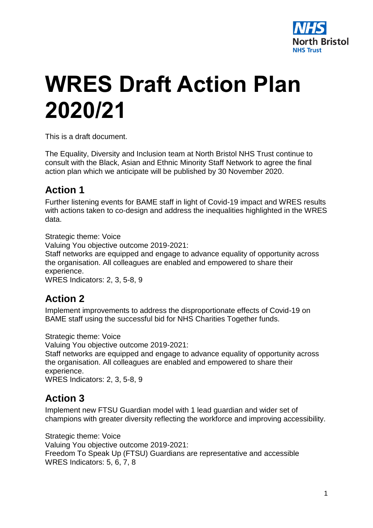

# **WRES Draft Action Plan 2020/21**

This is a draft document.

The Equality, Diversity and Inclusion team at North Bristol NHS Trust continue to consult with the Black, Asian and Ethnic Minority Staff Network to agree the final action plan which we anticipate will be published by 30 November 2020.

## **Action 1**

Further listening events for BAME staff in light of Covid-19 impact and WRES results with actions taken to co-design and address the inequalities highlighted in the WRES data.

Strategic theme: Voice

Valuing You objective outcome 2019-2021:

Staff networks are equipped and engage to advance equality of opportunity across the organisation. All colleagues are enabled and empowered to share their experience.

WRES Indicators: 2, 3, 5-8, 9

## **Action 2**

Implement improvements to address the disproportionate effects of Covid-19 on BAME staff using the successful bid for NHS Charities Together funds.

Strategic theme: Voice

Valuing You objective outcome 2019-2021:

Staff networks are equipped and engage to advance equality of opportunity across the organisation. All colleagues are enabled and empowered to share their experience.

WRES Indicators: 2, 3, 5-8, 9

#### **Action 3**

Implement new FTSU Guardian model with 1 lead guardian and wider set of champions with greater diversity reflecting the workforce and improving accessibility.

Strategic theme: Voice Valuing You objective outcome 2019-2021: Freedom To Speak Up (FTSU) Guardians are representative and accessible WRES Indicators: 5, 6, 7, 8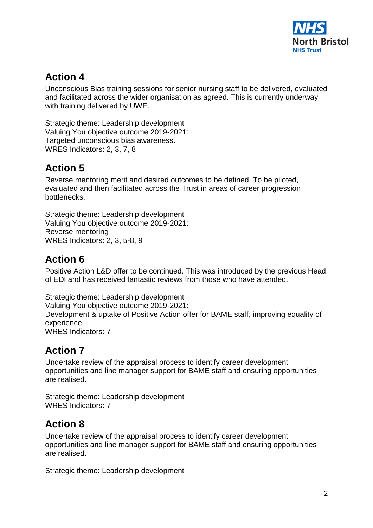

## **Action 4**

Unconscious Bias training sessions for senior nursing staff to be delivered, evaluated and facilitated across the wider organisation as agreed. This is currently underway with training delivered by UWE.

Strategic theme: Leadership development Valuing You objective outcome 2019-2021: Targeted unconscious bias awareness. WRES Indicators: 2, 3, 7, 8

# **Action 5**

Reverse mentoring merit and desired outcomes to be defined. To be piloted, evaluated and then facilitated across the Trust in areas of career progression bottlenecks.

Strategic theme: Leadership development Valuing You objective outcome 2019-2021: Reverse mentoring WRES Indicators: 2, 3, 5-8, 9

# **Action 6**

Positive Action L&D offer to be continued. This was introduced by the previous Head of EDI and has received fantastic reviews from those who have attended.

Strategic theme: Leadership development Valuing You objective outcome 2019-2021: Development & uptake of Positive Action offer for BAME staff, improving equality of experience. WRES Indicators: 7

# **Action 7**

Undertake review of the appraisal process to identify career development opportunities and line manager support for BAME staff and ensuring opportunities are realised.

Strategic theme: Leadership development WRES Indicators: 7

# **Action 8**

Undertake review of the appraisal process to identify career development opportunities and line manager support for BAME staff and ensuring opportunities are realised.

Strategic theme: Leadership development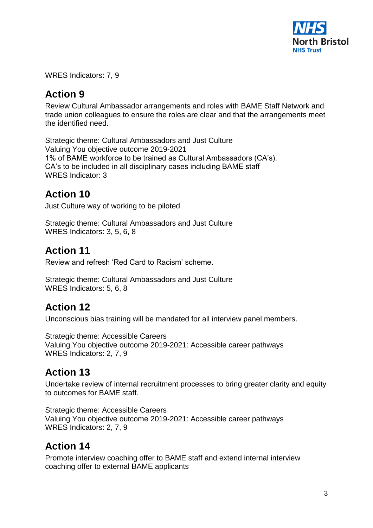

WRES Indicators: 7, 9

## **Action 9**

Review Cultural Ambassador arrangements and roles with BAME Staff Network and trade union colleagues to ensure the roles are clear and that the arrangements meet the identified need.

Strategic theme: Cultural Ambassadors and Just Culture Valuing You objective outcome 2019-2021 1% of BAME workforce to be trained as Cultural Ambassadors (CA's). CA's to be included in all disciplinary cases including BAME staff WRES Indicator: 3

#### **Action 10**

Just Culture way of working to be piloted

Strategic theme: Cultural Ambassadors and Just Culture WRES Indicators: 3, 5, 6, 8

## **Action 11**

Review and refresh 'Red Card to Racism' scheme.

Strategic theme: Cultural Ambassadors and Just Culture WRES Indicators: 5, 6, 8

## **Action 12**

Unconscious bias training will be mandated for all interview panel members.

Strategic theme: Accessible Careers Valuing You objective outcome 2019-2021: Accessible career pathways WRES Indicators: 2, 7, 9

# **Action 13**

Undertake review of internal recruitment processes to bring greater clarity and equity to outcomes for BAME staff.

Strategic theme: Accessible Careers Valuing You objective outcome 2019-2021: Accessible career pathways WRES Indicators: 2, 7, 9

# **Action 14**

Promote interview coaching offer to BAME staff and extend internal interview coaching offer to external BAME applicants